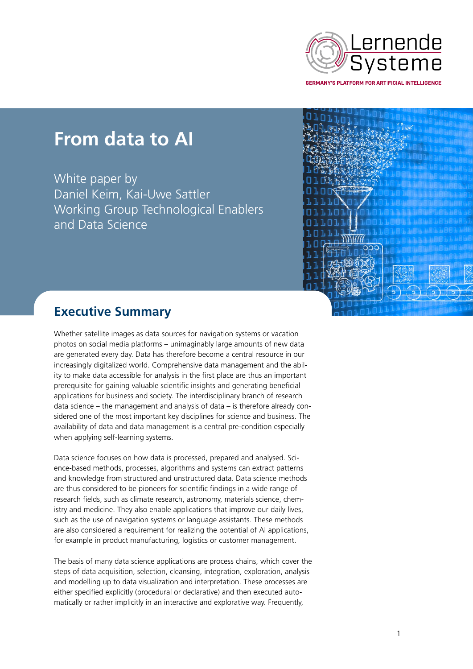

**GERMANY'S PLATFORM FOR ARTIFICIAL INTELLIGENCE** 

## **From data to AI**

White paper by Daniel Keim, Kai-Uwe Sattler Working Group Technological Enablers and Data Science



## **Executive Summary**

Whether satellite images as data sources for navigation systems or vacation photos on social media platforms – unimaginably large amounts of new data are generated every day. Data has therefore become a central resource in our increasingly digitalized world. Comprehensive data management and the ability to make data accessible for analysis in the first place are thus an important prerequisite for gaining valuable scientific insights and generating beneficial applications for business and society. The interdisciplinary branch of research data science – the management and analysis of data – is therefore already considered one of the most important key disciplines for science and business. The availability of data and data management is a central pre-condition especially when applying self-learning systems.

Data science focuses on how data is processed, prepared and analysed. Science-based methods, processes, algorithms and systems can extract patterns and knowledge from structured and unstructured data. Data science methods are thus considered to be pioneers for scientific findings in a wide range of research fields, such as climate research, astronomy, materials science, chemistry and medicine. They also enable applications that improve our daily lives, such as the use of navigation systems or language assistants. These methods are also considered a requirement for realizing the potential of AI applications, for example in product manufacturing, logistics or customer management.

The basis of many data science applications are process chains, which cover the steps of data acquisition, selection, cleansing, integration, exploration, analysis and modelling up to data visualization and interpretation. These processes are either specified explicitly (procedural or declarative) and then executed automatically or rather implicitly in an interactive and explorative way. Frequently,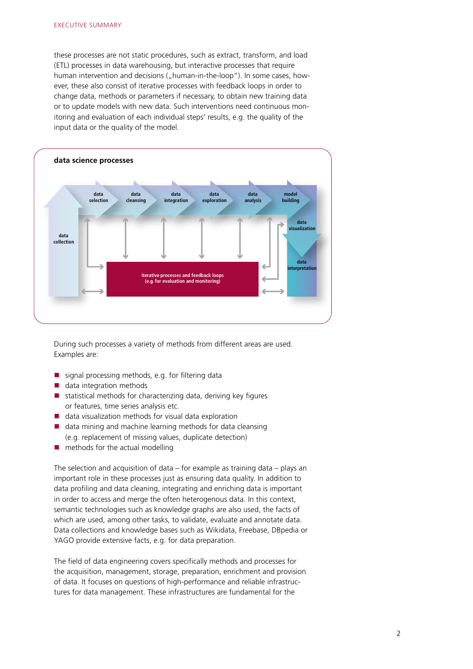these processes are not static procedures, such as extract, transform, and load (ETL) processes in data warehousing, but interactive processes that require human intervention and decisions ("human-in-the-loop"). In some cases, however, these also consist of iterative processes with feedback loops in order to change data, methods or parameters if necessary, to obtain new training data or to update models with new data. Such interventions need continuous monitoring and evaluation of each individual steps' results, e.g. the quality of the input data or the quality of the model.



During such processes a variety of methods from different areas are used. Examples are:

- signal processing methods, e.g. for filtering data
- data integration methods
- $\blacksquare$  statistical methods for characterizing data, deriving key figures or features, time series analysis etc.
- data visualization methods for visual data exploration
- $\blacksquare$  data mining and machine learning methods for data cleansing (e.g. replacement of missing values, duplicate detection)
- $\blacksquare$  methods for the actual modelling

The selection and acquisition of data – for example as training data – plays an important role in these processes just as ensuring data quality. In addition to data profiling and data cleaning, integrating and enriching data is important in order to access and merge the often heterogenous data. In this context, semantic technologies such as knowledge graphs are also used, the facts of which are used, among other tasks, to validate, evaluate and annotate data. Data collections and knowledge bases such as Wikidata, Freebase, DBpedia or YAGO provide extensive facts, e.g. for data preparation.

The field of data engineering covers specifically methods and processes for the acquisition, management, storage, preparation, enrichment and provision of data. It focuses on questions of high-performance and reliable infrastructures for data management. These infrastructures are fundamental for the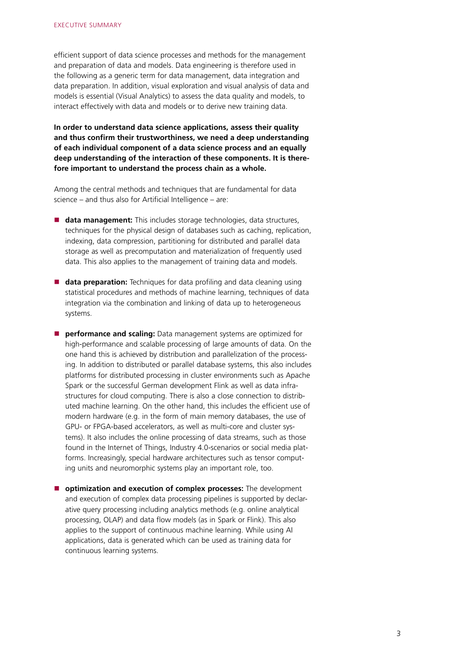efficient support of data science processes and methods for the management and preparation of data and models. Data engineering is therefore used in the following as a generic term for data management, data integration and data preparation. In addition, visual exploration and visual analysis of data and models is essential (Visual Analytics) to assess the data quality and models, to interact effectively with data and models or to derive new training data.

**In order to understand data science applications, assess their quality and thus confirm their trustworthiness, we need a deep understanding of each individual component of a data science process and an equally deep understanding of the interaction of these components. It is therefore important to understand the process chain as a whole.**

Among the central methods and techniques that are fundamental for data science – and thus also for Artificial Intelligence – are:

- data management: This includes storage technologies, data structures, techniques for the physical design of databases such as caching, replication, indexing, data compression, partitioning for distributed and parallel data storage as well as precomputation and materialization of frequently used data. This also applies to the management of training data and models.
- **data preparation:** Techniques for data profiling and data cleaning using statistical procedures and methods of machine learning, techniques of data integration via the combination and linking of data up to heterogeneous systems.
- **P** performance and scaling: Data management systems are optimized for high-performance and scalable processing of large amounts of data. On the one hand this is achieved by distribution and parallelization of the processing. In addition to distributed or parallel database systems, this also includes platforms for distributed processing in cluster environments such as Apache Spark or the successful German development Flink as well as data infrastructures for cloud computing. There is also a close connection to distributed machine learning. On the other hand, this includes the efficient use of modern hardware (e.g. in the form of main memory databases, the use of GPU- or FPGA-based accelerators, as well as multi-core and cluster systems). It also includes the online processing of data streams, such as those found in the Internet of Things, Industry 4.0-scenarios or social media platforms. Increasingly, special hardware architectures such as tensor computing units and neuromorphic systems play an important role, too.
- $\blacksquare$  optimization and execution of complex processes: The development and execution of complex data processing pipelines is supported by declarative query processing including analytics methods (e.g. online analytical processing, OLAP) and data flow models (as in Spark or Flink). This also applies to the support of continuous machine learning. While using AI applications, data is generated which can be used as training data for continuous learning systems.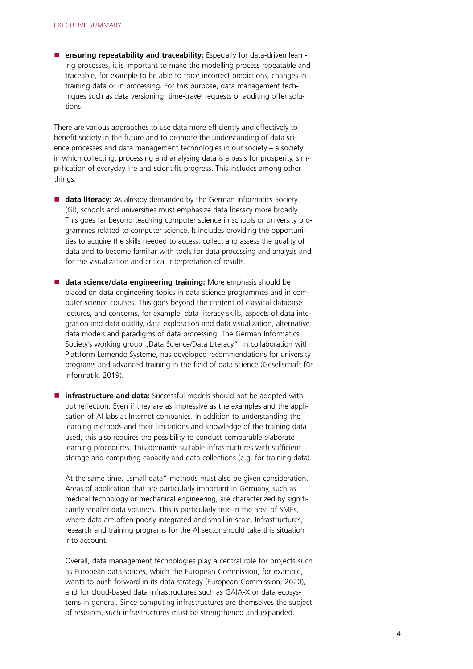**ensuring repeatability and traceability:** Especially for data-driven learning processes, it is important to make the modelling process repeatable and traceable, for example to be able to trace incorrect predictions, changes in training data or in processing. For this purpose, data management techniques such as data versioning, time-travel requests or auditing offer solutions.

There are various approaches to use data more efficiently and effectively to benefit society in the future and to promote the understanding of data science processes and data management technologies in our society – a society in which collecting, processing and analysing data is a basis for prosperity, simplification of everyday life and scientific progress. This includes among other things:

- **data literacy:** As already demanded by the German Informatics Society (GI), schools and universities must emphasize data literacy more broadly. This goes far beyond teaching computer science in schools or university programmes related to computer science. It includes providing the opportunities to acquire the skills needed to access, collect and assess the quality of data and to become familiar with tools for data processing and analysis and for the visualization and critical interpretation of results.
- **data science/data engineering training:** More emphasis should be placed on data engineering topics in data science programmes and in computer science courses. This goes beyond the content of classical database lectures, and concerns, for example, data-literacy skills, aspects of data integration and data quality, data exploration and data visualization, alternative data models and paradigms of data processing. The German Informatics Society's working group "Data Science/Data Literacy", in collaboration with Plattform Lernende Systeme, has developed recommendations for university programs and advanced training in the field of data science (Gesellschaft für Informatik, 2019).
- **infrastructure and data:** Successful models should not be adopted without reflection. Even if they are as impressive as the examples and the application of AI labs at Internet companies. In addition to understanding the learning methods and their limitations and knowledge of the training data used, this also requires the possibility to conduct comparable elaborate learning procedures. This demands suitable infrastructures with sufficient storage and computing capacity and data collections (e.g. for training data).

At the same time, "small-data"-methods must also be given consideration. Areas of application that are particularly important in Germany, such as medical technology or mechanical engineering, are characterized by significantly smaller data volumes. This is particularly true in the area of SMEs, where data are often poorly integrated and small in scale. Infrastructures, research and training programs for the AI sector should take this situation into account.

Overall, data management technologies play a central role for projects such as European data spaces, which the European Commission, for example, wants to push forward in its data strategy (European Commission, 2020), and for cloud-based data infrastructures such as GAIA-X or data ecosystems in general. Since computing infrastructures are themselves the subject of research, such infrastructures must be strengthened and expanded.